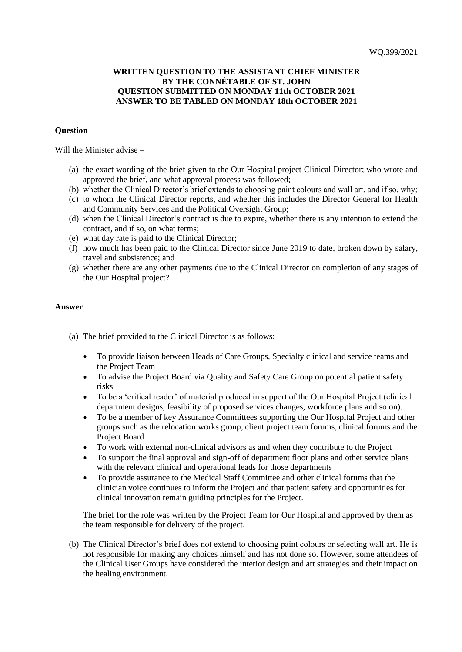## **WRITTEN QUESTION TO THE ASSISTANT CHIEF MINISTER BY THE CONNÉTABLE OF ST. JOHN QUESTION SUBMITTED ON MONDAY 11th OCTOBER 2021 ANSWER TO BE TABLED ON MONDAY 18th OCTOBER 2021**

## **Question**

Will the Minister advise –

- (a) the exact wording of the brief given to the Our Hospital project Clinical Director; who wrote and approved the brief, and what approval process was followed;
- (b) whether the Clinical Director's brief extends to choosing paint colours and wall art, and if so, why;
- (c) to whom the Clinical Director reports, and whether this includes the Director General for Health and Community Services and the Political Oversight Group;
- (d) when the Clinical Director's contract is due to expire, whether there is any intention to extend the contract, and if so, on what terms;
- (e) what day rate is paid to the Clinical Director;
- (f) how much has been paid to the Clinical Director since June 2019 to date, broken down by salary, travel and subsistence; and
- (g) whether there are any other payments due to the Clinical Director on completion of any stages of the Our Hospital project?

## **Answer**

(a) The brief provided to the Clinical Director is as follows:

- To provide liaison between Heads of Care Groups, Specialty clinical and service teams and the Project Team
- To advise the Project Board via Quality and Safety Care Group on potential patient safety risks
- To be a 'critical reader' of material produced in support of the Our Hospital Project (clinical department designs, feasibility of proposed services changes, workforce plans and so on).
- To be a member of key Assurance Committees supporting the Our Hospital Project and other groups such as the relocation works group, client project team forums, clinical forums and the Project Board
- To work with external non-clinical advisors as and when they contribute to the Project
- To support the final approval and sign-off of department floor plans and other service plans with the relevant clinical and operational leads for those departments
- To provide assurance to the Medical Staff Committee and other clinical forums that the clinician voice continues to inform the Project and that patient safety and opportunities for clinical innovation remain guiding principles for the Project.

The brief for the role was written by the Project Team for Our Hospital and approved by them as the team responsible for delivery of the project.

(b) The Clinical Director's brief does not extend to choosing paint colours or selecting wall art. He is not responsible for making any choices himself and has not done so. However, some attendees of the Clinical User Groups have considered the interior design and art strategies and their impact on the healing environment.